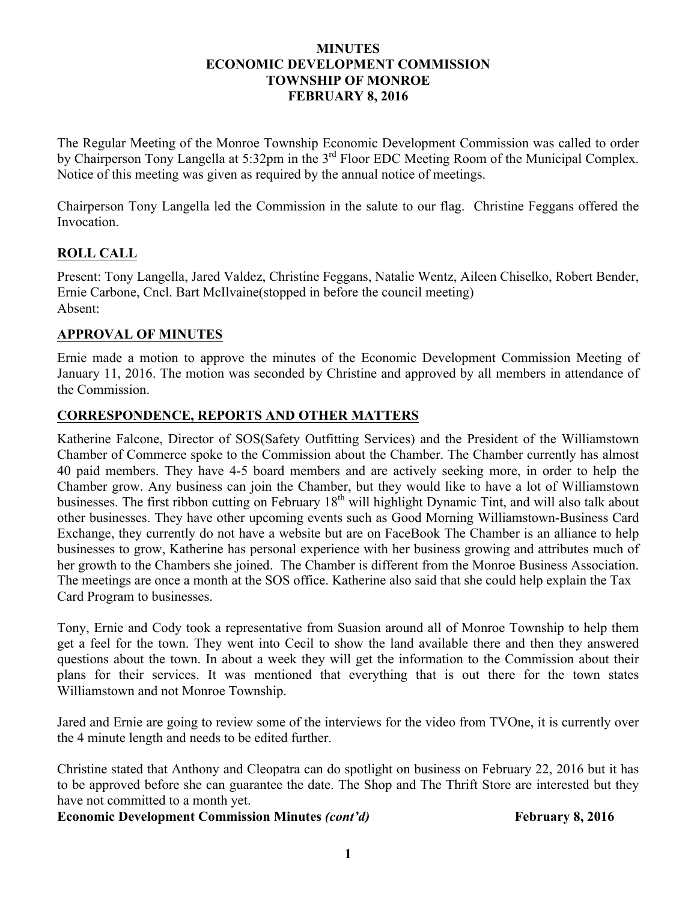#### **MINUTES ECONOMIC DEVELOPMENT COMMISSION TOWNSHIP OF MONROE FEBRUARY 8, 2016**

The Regular Meeting of the Monroe Township Economic Development Commission was called to order by Chairperson Tony Langella at 5:32pm in the 3<sup>rd</sup> Floor EDC Meeting Room of the Municipal Complex. Notice of this meeting was given as required by the annual notice of meetings.

Chairperson Tony Langella led the Commission in the salute to our flag. Christine Feggans offered the Invocation.

## **ROLL CALL**

Present: Tony Langella, Jared Valdez, Christine Feggans, Natalie Wentz, Aileen Chiselko, Robert Bender, Ernie Carbone, Cncl. Bart McIlvaine(stopped in before the council meeting) Absent:

## **APPROVAL OF MINUTES**

Ernie made a motion to approve the minutes of the Economic Development Commission Meeting of January 11, 2016. The motion was seconded by Christine and approved by all members in attendance of the Commission.

# **CORRESPONDENCE, REPORTS AND OTHER MATTERS**

Katherine Falcone, Director of SOS(Safety Outfitting Services) and the President of the Williamstown Chamber of Commerce spoke to the Commission about the Chamber. The Chamber currently has almost 40 paid members. They have 4-5 board members and are actively seeking more, in order to help the Chamber grow. Any business can join the Chamber, but they would like to have a lot of Williamstown businesses. The first ribbon cutting on February 18<sup>th</sup> will highlight Dynamic Tint, and will also talk about other businesses. They have other upcoming events such as Good Morning Williamstown-Business Card Exchange, they currently do not have a website but are on FaceBook The Chamber is an alliance to help businesses to grow, Katherine has personal experience with her business growing and attributes much of her growth to the Chambers she joined. The Chamber is different from the Monroe Business Association. The meetings are once a month at the SOS office. Katherine also said that she could help explain the Tax Card Program to businesses.

Tony, Ernie and Cody took a representative from Suasion around all of Monroe Township to help them get a feel for the town. They went into Cecil to show the land available there and then they answered questions about the town. In about a week they will get the information to the Commission about their plans for their services. It was mentioned that everything that is out there for the town states Williamstown and not Monroe Township.

Jared and Ernie are going to review some of the interviews for the video from TVOne, it is currently over the 4 minute length and needs to be edited further.

Christine stated that Anthony and Cleopatra can do spotlight on business on February 22, 2016 but it has to be approved before she can guarantee the date. The Shop and The Thrift Store are interested but they have not committed to a month yet.

**Economic Development Commission Minutes** *(cont'd)* **February 8, 2016**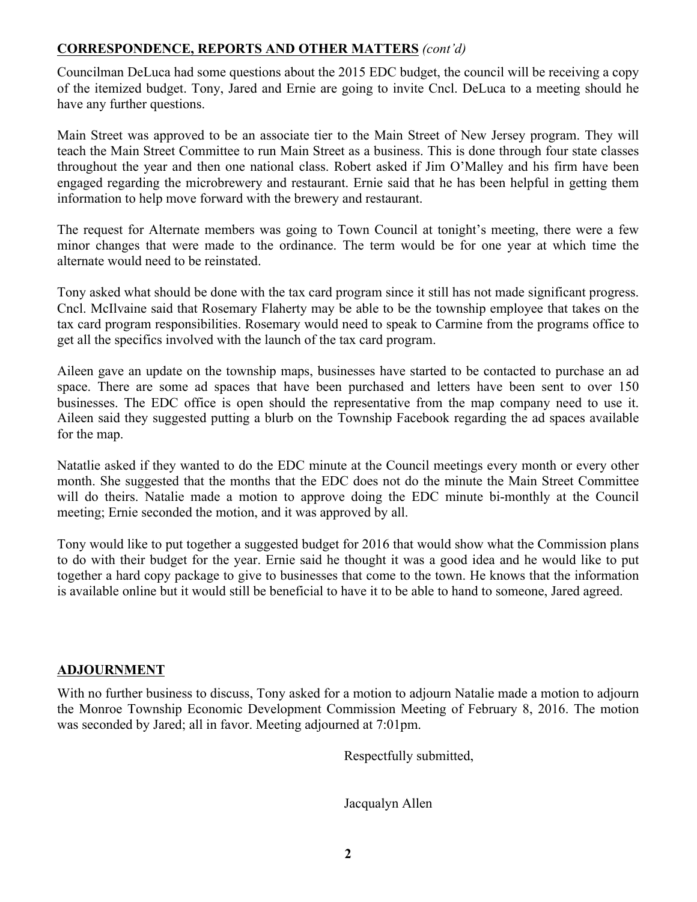### **CORRESPONDENCE, REPORTS AND OTHER MATTERS** *(cont'd)*

Councilman DeLuca had some questions about the 2015 EDC budget, the council will be receiving a copy of the itemized budget. Tony, Jared and Ernie are going to invite Cncl. DeLuca to a meeting should he have any further questions.

Main Street was approved to be an associate tier to the Main Street of New Jersey program. They will teach the Main Street Committee to run Main Street as a business. This is done through four state classes throughout the year and then one national class. Robert asked if Jim O'Malley and his firm have been engaged regarding the microbrewery and restaurant. Ernie said that he has been helpful in getting them information to help move forward with the brewery and restaurant.

The request for Alternate members was going to Town Council at tonight's meeting, there were a few minor changes that were made to the ordinance. The term would be for one year at which time the alternate would need to be reinstated.

Tony asked what should be done with the tax card program since it still has not made significant progress. Cncl. McIlvaine said that Rosemary Flaherty may be able to be the township employee that takes on the tax card program responsibilities. Rosemary would need to speak to Carmine from the programs office to get all the specifics involved with the launch of the tax card program.

Aileen gave an update on the township maps, businesses have started to be contacted to purchase an ad space. There are some ad spaces that have been purchased and letters have been sent to over 150 businesses. The EDC office is open should the representative from the map company need to use it. Aileen said they suggested putting a blurb on the Township Facebook regarding the ad spaces available for the map.

Natatlie asked if they wanted to do the EDC minute at the Council meetings every month or every other month. She suggested that the months that the EDC does not do the minute the Main Street Committee will do theirs. Natalie made a motion to approve doing the EDC minute bi-monthly at the Council meeting; Ernie seconded the motion, and it was approved by all.

Tony would like to put together a suggested budget for 2016 that would show what the Commission plans to do with their budget for the year. Ernie said he thought it was a good idea and he would like to put together a hard copy package to give to businesses that come to the town. He knows that the information is available online but it would still be beneficial to have it to be able to hand to someone, Jared agreed.

### **ADJOURNMENT**

With no further business to discuss, Tony asked for a motion to adjourn Natalie made a motion to adjourn the Monroe Township Economic Development Commission Meeting of February 8, 2016. The motion was seconded by Jared; all in favor. Meeting adjourned at 7:01pm.

Respectfully submitted,

Jacqualyn Allen